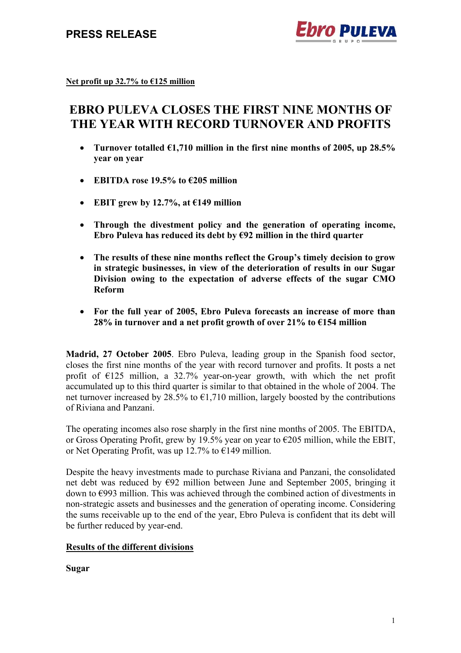

**Net profit up 32.7% to €125 million**

# **EBRO PULEVA CLOSES THE FIRST NINE MONTHS OF THE YEAR WITH RECORD TURNOVER AND PROFITS**

- **Turnover totalled €1,710 million in the first nine months of 2005, up 28.5% year on year**
- **EBITDA rose 19.5% to €205 million**
- **EBIT grew by 12.7%, at €149 million**
- **Through the divestment policy and the generation of operating income, Ebro Puleva has reduced its debt by €92 million in the third quarter**
- **The results of these nine months reflect the Group's timely decision to grow in strategic businesses, in view of the deterioration of results in our Sugar Division owing to the expectation of adverse effects of the sugar CMO Reform**
- **For the full year of 2005, Ebro Puleva forecasts an increase of more than 28% in turnover and a net profit growth of over 21% to €154 million**

**Madrid, 27 October 2005**. Ebro Puleva, leading group in the Spanish food sector, closes the first nine months of the year with record turnover and profits. It posts a net profit of  $E125$  million, a 32.7% year-on-year growth, with which the net profit accumulated up to this third quarter is similar to that obtained in the whole of 2004. The net turnover increased by 28.5% to  $\epsilon$ 1.710 million, largely boosted by the contributions of Riviana and Panzani.

The operating incomes also rose sharply in the first nine months of 2005. The EBITDA, or Gross Operating Profit, grew by 19.5% year on year to  $\epsilon$ 205 million, while the EBIT, or Net Operating Profit, was up 12.7% to  $\epsilon$ 149 million.

Despite the heavy investments made to purchase Riviana and Panzani, the consolidated net debt was reduced by €92 million between June and September 2005, bringing it down to €993 million. This was achieved through the combined action of divestments in non-strategic assets and businesses and the generation of operating income. Considering the sums receivable up to the end of the year, Ebro Puleva is confident that its debt will be further reduced by year-end.

#### **Results of the different divisions**

**Sugar**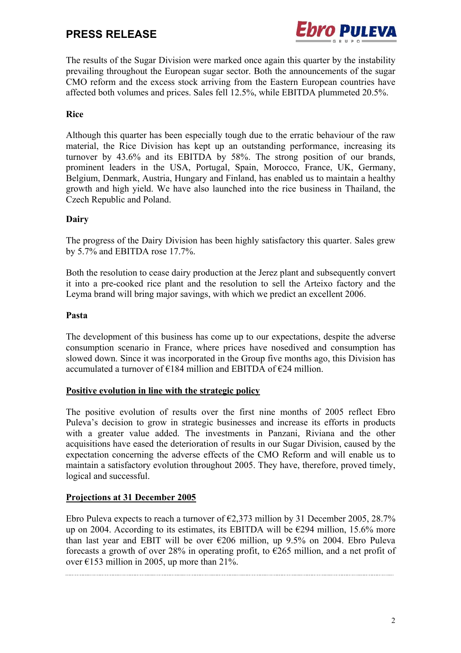## **PRESS RELEASE**



The results of the Sugar Division were marked once again this quarter by the instability prevailing throughout the European sugar sector. Both the announcements of the sugar CMO reform and the excess stock arriving from the Eastern European countries have affected both volumes and prices. Sales fell 12.5%, while EBITDA plummeted 20.5%.

#### **Rice**

Although this quarter has been especially tough due to the erratic behaviour of the raw material, the Rice Division has kept up an outstanding performance, increasing its turnover by 43.6% and its EBITDA by 58%. The strong position of our brands, prominent leaders in the USA, Portugal, Spain, Morocco, France, UK, Germany, Belgium, Denmark, Austria, Hungary and Finland, has enabled us to maintain a healthy growth and high yield. We have also launched into the rice business in Thailand, the Czech Republic and Poland.

#### **Dairy**

The progress of the Dairy Division has been highly satisfactory this quarter. Sales grew by 5.7% and EBITDA rose 17.7%.

Both the resolution to cease dairy production at the Jerez plant and subsequently convert it into a pre-cooked rice plant and the resolution to sell the Arteixo factory and the Leyma brand will bring major savings, with which we predict an excellent 2006.

#### **Pasta**

The development of this business has come up to our expectations, despite the adverse consumption scenario in France, where prices have nosedived and consumption has slowed down. Since it was incorporated in the Group five months ago, this Division has accumulated a turnover of  $\epsilon$ 184 million and EBITDA of  $\epsilon$ 24 million.

#### **Positive evolution in line with the strategic policy**

The positive evolution of results over the first nine months of 2005 reflect Ebro Puleva's decision to grow in strategic businesses and increase its efforts in products with a greater value added. The investments in Panzani, Riviana and the other acquisitions have eased the deterioration of results in our Sugar Division, caused by the expectation concerning the adverse effects of the CMO Reform and will enable us to maintain a satisfactory evolution throughout 2005. They have, therefore, proved timely, logical and successful.

#### **Projections at 31 December 2005**

Ebro Puleva expects to reach a turnover of  $\epsilon$ 2,373 million by 31 December 2005, 28.7% up on 2004. According to its estimates, its EBITDA will be  $\epsilon$ 294 million, 15.6% more than last year and EBIT will be over  $\epsilon$ 206 million, up 9.5% on 2004. Ebro Puleva forecasts a growth of over 28% in operating profit, to  $\epsilon$ 265 million, and a net profit of over  $\epsilon$ 153 million in 2005, up more than 21%.